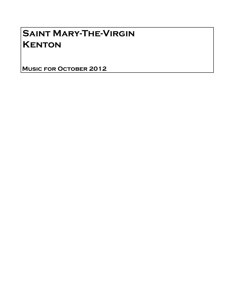# Saint Mary-The-Virgin **KENTON**

Music for October 2012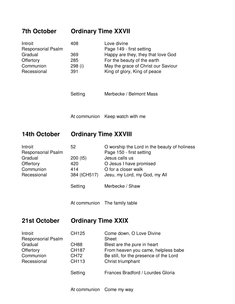## **7th October Ordinary Time XXVII**

| Introit                   | 408     | Love divine                         |
|---------------------------|---------|-------------------------------------|
| <b>Responsorial Psalm</b> |         | Page 149 - first setting            |
| Gradual                   | 369     | Happy are they, they that love God  |
| Offertory                 | 285     | For the beauty of the earth         |
| Communion                 | 298 (i) | May the grace of Christ our Saviour |
| Recessional               | 391     | King of glory, King of peace        |

- Setting Merbecke / Belmont Mass
- At communion Keep watch with me

### **14th October Ordinary Time XXVIII**

| Introit                   | 52         | O worship the Lord in the beauty of holiness |
|---------------------------|------------|----------------------------------------------|
| <b>Responsorial Psalm</b> |            | Page 150 - first setting                     |
| Gradual                   | $200$ (t5) | Jesus calls us                               |
| Offertory                 | 420        | O Jesus I have promised                      |
| Communion                 | 414        | O for a closer walk                          |
| Recessional               |            | 384 (tCH517) Jesu, my Lord, my God, my All   |
|                           | Setting    | Merbecke / Shaw                              |

At communion The family table

### **21st October Ordinary Time XXIX**

| Introit                   | CH125            | Come down, O Love Divine               |
|---------------------------|------------------|----------------------------------------|
| <b>Responsorial Psalm</b> |                  | <b>Sheet</b>                           |
| Gradual                   | CH <sub>88</sub> | Blest are the pure in heart            |
| Offertory                 | <b>CH187</b>     | From heaven you came, helpless babe    |
| Communion                 | <b>CH72</b>      | Be still, for the presence of the Lord |
| Recessional               | <b>CH113</b>     | Christ triumphant                      |
|                           | Setting          | Frances Bradford / Lourdes Gloria      |